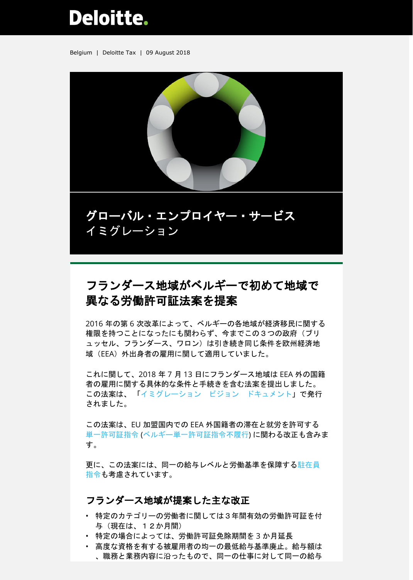# Deloitte.

Belgium | Deloitte Tax | 09 August 2018



グローバル・エンプロイヤー・サービス イミグレーション

## フランダース地域がベルギーで初めて地域で 異なる労働許可証法案を提案

2016 年の第 6 次改革によって、ベルギーの各地域が経済移民に関する 権限を持つことになったにも関わらず、今までこの3つの政府(ブリ ュッセル、フランダース、ワロン)は引き続き同じ条件を欧州経済地 域(EEA)外出身者の雇用に関して適用していました。

これに関して、2018 年 7 月 13 日にフランダース地域は EEA 外の国籍 者の雇用に関する具体的な条件と手続きを含む法案を提出しました。 この法案は、 [「イミグレーション](https://ewi-vlaanderen.be/sites/default/files/bestanden/visienota_arbeidsmigratie.pdfhttps:/ewi-vlaanderen.be/sites/default/files/bestanden/visienota_arbeidsmigratie.pdf) ビジョン ドキュメント」で発行 されました。

この法案は、EU 加盟国内での EEA 外国籍者の滞在と就労を許可する [単一許可証指令](https://www2.deloitte.com/content/dam/Deloitte/be/Documents/tax/TaxAlerts/IndividualTaxAlerts/Single%20Permit%20Process%20overview%20-%20May%202016.pdf) ([ベルギー単一許可証指令不履行](https://www2.deloitte.com/content/dam/Deloitte/be/Documents/tax/TaxAlerts/IndividualTaxAlerts/Immigration%20alert%20-%20Single%20permit%20-%2026%20July%202017.pdf))に関わる改正も含みま す。

更に、この法案には、同一の給与レベルと労働基準を保障す[る駐在員](https://www2.deloitte.com/be/en/pages/tax/articles/Revised-Posted-Workers-Directive-impact-on-assignments.html) [指令も](https://www2.deloitte.com/be/en/pages/tax/articles/Revised-Posted-Workers-Directive-impact-on-assignments.html)考慮されています。

#### フランダース地域が提案した主な改正

- 特定のカテゴリーの労働者に関しては3年間有効の労働許可証を付 与(現在は、12か月間)
- 特定の場合によっては、労働許可証免除期間を 3 か月延長
- 高度な資格を有する被雇用者の均一の最低給与基準廃止。給与額は 、職務と業務内容に沿ったもので、同一の仕事に対して同一の給与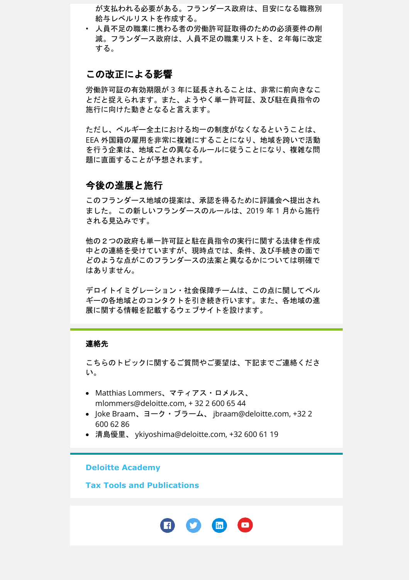が支払われる必要がある。フランダース政府は、目安になる職務別 給与レベルリストを作成する。

• 人員不足の職業に携わる者の労働許可証取得のための必須要件の削 減。フランダース政府は、人員不足の職業リストを、2年毎に改定 する。

#### この改正による影響

労働許可証の有効期限が 3 年に延長されることは、非常に前向きなこ とだと捉えられます。また、ようやく単一許可証、及び駐在員指令の 施行に向けた動きとなると言えます。

ただし、ベルギー全土における均一の制度がなくなるということは、 EEA 外国籍の雇用を非常に複雑にすることになり、地域を跨いで活動 を行う企業は、地域ごとの異なるルールに従うことになり、複雑な問 題に直面することが予想されます。

### 今後の進展と施行

このフランダース地域の提案は、承認を得るために評議会へ提出され ました。 この新しいフランダースのルールは、2019 年 1 月から施行 される見込みです。

他の2つの政府も単一許可証と駐在員指令の実行に関する法律を作成 中との連絡を受けていますが、現時点では、条件、及び手続きの面で どのような点がこのフランダースの法案と異なるかについては明確で はありません。

デロイトイミグレーション・社会保障チームは、この点に関してベル ギーの各地域とのコンタクトを引き続き行います。また、各地域の進 展に関する情報を記載するウェブサイトを設けます。

#### 連絡先

こちらのトピックに関するご質問やご要望は、下記までご連絡くださ い。

- Matthias Lommers、マティアス・ロメルス、 mlommers@deloitte.com, + 32 2 600 65 44
- Joke Braam、ヨーク・ブラーム、 jbraam@deloitte.com, +32 2 600 62 86
- 清島優里、 ykiyoshima@deloitte.com, +32 600 61 19

#### **[Deloitte Academy](https://www2.deloitte.com/be/en/pages/tax/events/deloitte-academy-belgium-deloitte-belgium/Tax-Deloitte-Academy-Deloitte-Belgium/Upcoming-Events-Tax-Deloitte-Academy-Belgium.html)**

**[Tax Tools and Publications](https://www2.deloitte.com/be/en/pages/tax/topics/Tax-tools-and-publications-Deloitte-Belgium-Tax.html)**